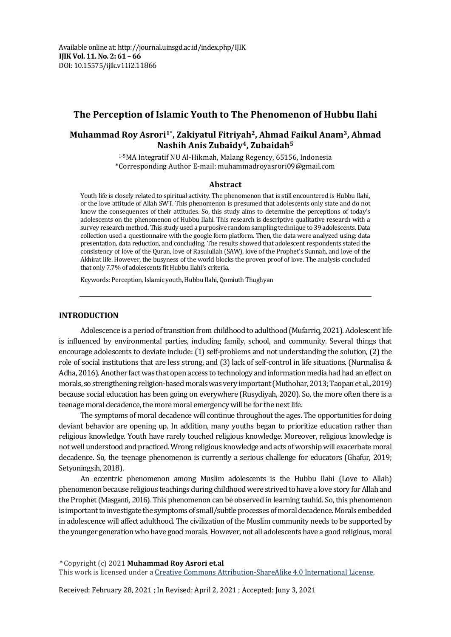## **The Perception of Islamic Youth to The Phenomenon of Hubbu Ilahi**

## **Muhammad Roy Asrori1\* , Zakiyatul Fitriyah2, Ahmad Faikul Anam3, Ahmad Nashih Anis Zubaidy4, Zubaidah<sup>5</sup>**

1-5MA Integratif NU Al-Hikmah, Malang Regency, 65156, Indonesia \*Corresponding Author E-mail: muhammadroyasrori09@gmail.com

#### **Abstract**

Youth life is closely related to spiritual activity. The phenomenon that is still encountered is Hubbu Ilahi, or the love attitude of Allah SWT. This phenomenon is presumed that adolescents only state and do not know the consequences of their attitudes. So, this study aims to determine the perceptions of today's adolescents on the phenomenon of Hubbu Ilahi. This research is descriptive qualitative research with a survey research method. This study used a purposive random sampling technique to 39 adolescents. Data collection used a questionnaire with the google form platform. Then, the data were analyzed using: data presentation, data reduction, and concluding. The results showed that adolescent respondents stated the consistency of love of the Quran, love of Rasulullah (SAW), love of the Prophet's Sunnah, and love of the Akhirat life. However, the busyness of the world blocks the proven proof of love. The analysis concluded that only 7.7% of adolescents fit Hubbu Ilahi's criteria.

Keywords: Perception, Islamic youth, Hubbu Ilahi, Qomiuth Thughyan

#### **INTRODUCTION**

Adolescence is a period of transition from childhood to adulthood(Mufarriq, 2021). Adolescent life is influenced by environmental parties, including family, school, and community. Several things that encourage adolescents to deviate include: (1) self-problems and not understanding the solution, (2) the role of social institutions that are less strong, and (3) lack of self-control in life situations. (Nurmalisa & Adha, 2016). Another fact was that open access to technology and information media had had an effect on morals, so strengthening religion-based moralswas very important (Muthohar, 2013; Taopan et al., 2019) because social education has been going on everywhere (Rusydiyah, 2020). So, the more often there is a teenage moral decadence, the more moral emergency will be for the next life.

The symptoms of moral decadence will continue throughout the ages. The opportunities for doing deviant behavior are opening up. In addition, many youths began to prioritize education rather than religious knowledge. Youth have rarely touched religious knowledge. Moreover, religious knowledge is not well understood and practiced. Wrong religious knowledge and acts of worship will exacerbate moral decadence. So, the teenage phenomenon is currently a serious challenge for educators (Ghafur, 2019; Setyoningsih, 2018).

An eccentric phenomenon among Muslim adolescents is the Hubbu Ilahi (Love to Allah) phenomenon because religious teachings during childhood were strived to have a love story for Allah and the Prophet (Masganti, 2016). This phenomenon can be observed in learning tauhid. So, this phenomenon is important to investigate the symptoms of small/subtle processes of moral decadence. Morals embedded in adolescence will affect adulthood. The civilization of the Muslim community needs to be supported by the younger generation who have good morals. However, not all adolescents have a good religious, moral

\* Copyright (c) 2021 **Muhammad Roy Asrori et.al** This work is licensed under a [Creative Commons Attribution-ShareAlike 4.0 International License.](https://creativecommons.org/licenses/by-sa/4.0/)

Received: February 28, 2021 ; In Revised: April 2, 2021 ; Accepted: Juny 3, 2021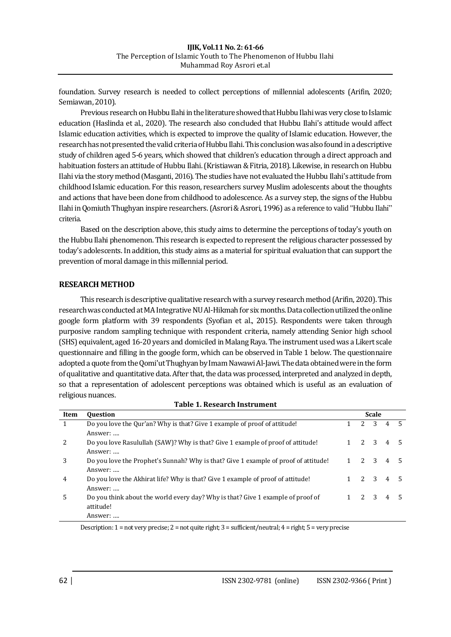foundation. Survey research is needed to collect perceptions of millennial adolescents (Arifin, 2020; Semiawan, 2010).

Previous research on Hubbu Ilahi in the literature showed that Hubbu Ilahi was very close to Islamic education (Haslinda et al., 2020). The research also concluded that Hubbu Ilahi's attitude would affect Islamic education activities, which is expected to improve the quality of Islamic education. However, the research has not presented the valid criteria of Hubbu Ilahi. This conclusionwas also foundin a descriptive study of children aged 5-6 years, which showed that children's education through a direct approach and habituation fosters an attitude of Hubbu Ilahi. (Kristiawan & Fitria, 2018). Likewise, in research on Hubbu Ilahi via the story method (Masganti, 2016). The studies have not evaluated the Hubbu Ilahi's attitude from childhood Islamic education. For this reason, researchers survey Muslim adolescents about the thoughts and actions that have been done from childhood to adolescence. As a survey step, the signs of the Hubbu Ilahi in Qomiuth Thughyan inspire researchers.(Asrori & Asrori, 1996) as a reference to valid "Hubbu Ilahi" criteria.

Based on the description above, this study aims to determine the perceptions of today's youth on the Hubbu Ilahi phenomenon. This research is expected to represent the religious character possessed by today's adolescents. In addition, this study aims as a material for spiritual evaluation that can support the prevention of moral damage in this millennial period.

## **RESEARCH METHOD**

This research is descriptive qualitative research with a survey research method (Arifin, 2020). This research was conducted at MA Integrative NU Al-Hikmah for six months. Data collection utilized the online google form platform with 39 respondents (Syofian et al., 2015). Respondents were taken through purposive random sampling technique with respondent criteria, namely attending Senior high school (SHS) equivalent, aged 16-20 years and domiciled in Malang Raya. The instrument used was a Likert scale questionnaire and filling in the google form, which can be observed in Table 1 below. The questionnaire adopted a quote from the Qomi'ut Thughyan by Imam Nawawi Al-Jawi. The data obtained were in the form of qualitative and quantitative data. After that, the data was processed, interpreted and analyzed in depth, so that a representation of adolescent perceptions was obtained which is useful as an evaluation of religious nuances.

| Table 1. Research Histriment |                                                                                     |              |                |   |   |  |
|------------------------------|-------------------------------------------------------------------------------------|--------------|----------------|---|---|--|
| Item                         | <b>Ouestion</b>                                                                     | <b>Scale</b> |                |   |   |  |
| 1                            | Do you love the Our'an? Why is that? Give 1 example of proof of attitude!           |              | $\overline{2}$ | 3 | 4 |  |
|                              | Answer:                                                                             |              |                |   |   |  |
| 2                            | Do you love Rasulullah (SAW)? Why is that? Give 1 example of proof of attitude!     |              | 2              | 3 | 4 |  |
|                              | Answer:                                                                             |              |                |   |   |  |
| 3                            | Do you love the Prophet's Sunnah? Why is that? Give 1 example of proof of attitude! |              | $2^{1}$        | 3 | 4 |  |
|                              | Answer:                                                                             |              |                |   |   |  |
| 4                            | Do you love the Akhirat life? Why is that? Give 1 example of proof of attitude!     |              | $\overline{2}$ | 3 | 4 |  |
|                              | Answer:                                                                             |              |                |   |   |  |
| 5                            | Do you think about the world every day? Why is that? Give 1 example of proof of     |              | $2^{\circ}$    | 3 | 4 |  |
|                              | attitude!                                                                           |              |                |   |   |  |
|                              | Answer:                                                                             |              |                |   |   |  |

**Table 1. Research Instrument**

Description: 1 = not very precise; 2 = not quite right; 3 = sufficient/neutral; 4 = right; 5 = very precise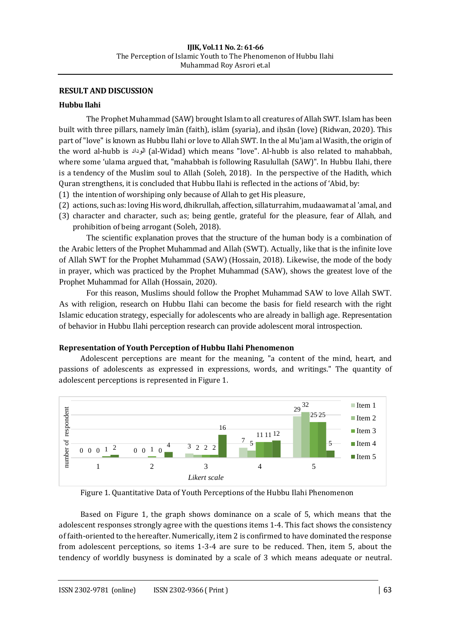## **RESULT AND DISCUSSION**

## **Hubbu Ilahi**

The Prophet Muhammad (SAW) brought Islam to all creatures of Allah SWT. Islam has been built with three pillars, namely īmān (faith), islām (syaria), and ihsān (love) (Ridwan, 2020). This part of "love" is known as Hubbu Ilahi or love to Allah SWT. In the al Mu'jam al Wasith, the origin of the word al-hubb is الوداد) al-Widad) which means "love". Al-hubb is also related to mahabbah, where some 'ulama argued that, "mahabbah is following Rasulullah (SAW)". In Hubbu Ilahi, there is a tendency of the Muslim soul to Allah (Soleh, 2018). In the perspective of the Hadith, which Quran strengthens, it is concluded that Hubbu Ilahi is reflected in the actions of 'Abid, by:

- (1) the intention of worshiping only because of Allah to get His pleasure,
- (2) actions, such as: loving His word, dhikrullah, affection, sillaturrahim, mudaawamat al 'amal, and
- (3) character and character, such as; being gentle, grateful for the pleasure, fear of Allah, and prohibition of being arrogant (Soleh, 2018).

The scientific explanation proves that the structure of the human body is a combination of the Arabic letters of the Prophet Muhammad and Allah (SWT). Actually, like that is the infinite love of Allah SWT for the Prophet Muhammad (SAW) (Hossain, 2018). Likewise, the mode of the body in prayer, which was practiced by the Prophet Muhammad (SAW), shows the greatest love of the Prophet Muhammad for Allah (Hossain, 2020).

For this reason, Muslims should follow the Prophet Muhammad SAW to love Allah SWT. As with religion, research on Hubbu Ilahi can become the basis for field research with the right Islamic education strategy, especially for adolescents who are already in balligh age. Representation of behavior in Hubbu Ilahi perception research can provide adolescent moral introspection.

#### **Representation of Youth Perception of Hubbu Ilahi Phenomenon**

Adolescent perceptions are meant for the meaning, "a content of the mind, heart, and passions of adolescents as expressed in expressions, words, and writings." The quantity of adolescent perceptions is represented in Figure 1.



Figure 1. Quantitative Data of Youth Perceptions of the Hubbu Ilahi Phenomenon

Based on Figure 1, the graph shows dominance on a scale of 5, which means that the adolescent responses strongly agree with the questions items 1-4. This fact shows the consistency of faith-oriented to the hereafter. Numerically, item 2 is confirmed to have dominated the response from adolescent perceptions, so items 1-3-4 are sure to be reduced. Then, item 5, about the tendency of worldly busyness is dominated by a scale of 3 which means adequate or neutral.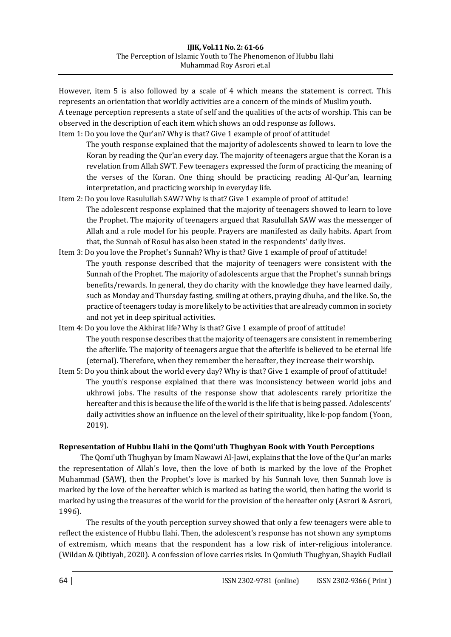However, item 5 is also followed by a scale of 4 which means the statement is correct. This represents an orientation that worldly activities are a concern of the minds of Muslim youth. A teenage perception represents a state of self and the qualities of the acts of worship. This can be observed in the description of each item which shows an odd response as follows. Item 1: Do you love the Qur'an? Why is that? Give 1 example of proof of attitude!

The youth response explained that the majority of adolescents showed to learn to love the Koran by reading the Qur'an every day. The majority of teenagers argue that the Koran is a revelation from Allah SWT. Few teenagers expressed the form of practicing the meaning of the verses of the Koran. One thing should be practicing reading Al-Qur'an, learning interpretation, and practicing worship in everyday life.

- Item 2: Do you love Rasulullah SAW? Why is that? Give 1 example of proof of attitude! The adolescent response explained that the majority of teenagers showed to learn to love the Prophet. The majority of teenagers argued that Rasulullah SAW was the messenger of Allah and a role model for his people. Prayers are manifested as daily habits. Apart from that, the Sunnah of Rosul has also been stated in the respondents' daily lives.
- Item 3: Do you love the Prophet's Sunnah? Why is that? Give 1 example of proof of attitude! The youth response described that the majority of teenagers were consistent with the Sunnah of the Prophet. The majority of adolescents argue that the Prophet's sunnah brings benefits/rewards. In general, they do charity with the knowledge they have learned daily, such as Monday and Thursday fasting, smiling at others, praying dhuha, and the like. So, the practice of teenagers today is more likely to be activities that are already common in society and not yet in deep spiritual activities.
- Item 4: Do you love the Akhirat life? Why is that? Give 1 example of proof of attitude! The youth response describes that the majority of teenagers are consistent in remembering the afterlife. The majority of teenagers argue that the afterlife is believed to be eternal life (eternal). Therefore, when they remember the hereafter, they increase their worship.
- Item 5: Do you think about the world every day? Why is that? Give 1 example of proof of attitude! The youth's response explained that there was inconsistency between world jobs and ukhrowi jobs. The results of the response show that adolescents rarely prioritize the hereafter and this is because the life of the world is the life that is being passed. Adolescents' daily activities show an influence on the level of their spirituality, like k-pop fandom (Yoon, 2019).

# **Representation of Hubbu Ilahi in the Qomi'uth Thughyan Book with Youth Perceptions**

The Qomi'uth Thughyan by Imam Nawawi Al-Jawi, explains that the love of the Qur'an marks the representation of Allah's love, then the love of both is marked by the love of the Prophet Muhammad (SAW), then the Prophet's love is marked by his Sunnah love, then Sunnah love is marked by the love of the hereafter which is marked as hating the world, then hating the world is marked by using the treasures of the world for the provision of the hereafter only (Asrori & Asrori, 1996).

The results of the youth perception survey showed that only a few teenagers were able to reflect the existence of Hubbu Ilahi. Then, the adolescent's response has not shown any symptoms of extremism, which means that the respondent has a low risk of inter-religious intolerance. (Wildan & Qibtiyah, 2020). A confession of love carries risks. In Qomiuth Thughyan, Shaykh Fudlail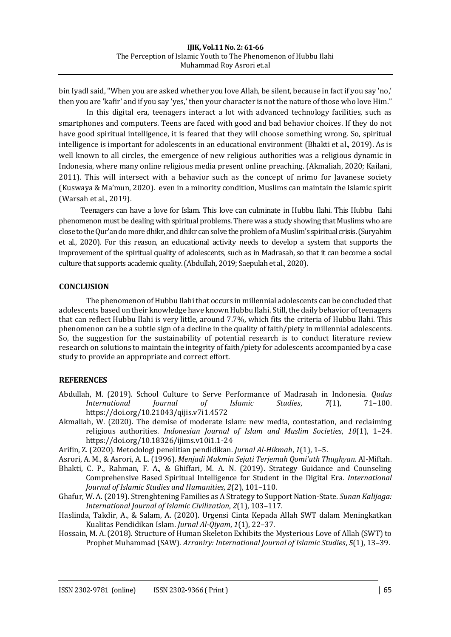bin Iyadl said, "When you are asked whether you love Allah, be silent, because in fact if you say 'no,' then you are 'kafir' and if you say 'yes,' then your character is not the nature of those who love Him."

In this digital era, teenagers interact a lot with advanced technology facilities, such as smartphones and computers. Teens are faced with good and bad behavior choices. If they do not have good spiritual intelligence, it is feared that they will choose something wrong. So, spiritual intelligence is important for adolescents in an educational environment (Bhakti et al., 2019). As is well known to all circles, the emergence of new religious authorities was a religious dynamic in Indonesia, where many online religious media present online preaching. (Akmaliah, 2020; Kailani, 2011). This will intersect with a behavior such as the concept of nrimo for Javanese society (Kuswaya & Ma'mun, 2020). even in a minority condition, Muslims can maintain the Islamic spirit (Warsah et al., 2019).

Teenagers can have a love for Islam. This love can culminate in Hubbu Ilahi. This Hubbu Ilahi phenomenon must be dealing with spiritual problems. There was a study showing that Muslims who are close to the Qur'an do more dhikr, and dhikr can solve the problem of a Muslim's spiritual crisis. (Suryahim et al., 2020). For this reason, an educational activity needs to develop a system that supports the improvement of the spiritual quality of adolescents, such as in Madrasah, so that it can become a social culture that supports academic quality. (Abdullah, 2019; Saepulah et al., 2020).

## **CONCLUSION**

The phenomenon of Hubbu Ilahi that occurs in millennial adolescents can be concluded that adolescents based on their knowledge have known Hubbu Ilahi. Still, the daily behavior of teenagers that can reflect Hubbu Ilahi is very little, around 7.7%, which fits the criteria of Hubbu Ilahi. This phenomenon can be a subtle sign of a decline in the quality of faith/piety in millennial adolescents. So, the suggestion for the sustainability of potential research is to conduct literature review research on solutions to maintain the integrity of faith/piety for adolescents accompanied by a case study to provide an appropriate and correct effort.

## **REFERENCES**

- Abdullah, M. (2019). School Culture to Serve Performance of Madrasah in Indonesia. *Qudus International Journal of Islamic Studies*, *7*(1), 71–100. https://doi.org/10.21043/qijis.v7i1.4572
- Akmaliah, W. (2020). The demise of moderate Islam: new media, contestation, and reclaiming religious authorities. *Indonesian Journal of Islam and Muslim Societies*, *10*(1), 1–24. https://doi.org/10.18326/ijims.v10i1.1-24

Arifin, Z. (2020). Metodologi penelitian pendidikan. *Jurnal Al-Hikmah*, *1*(1), 1–5.

- Asrori, A. M., & Asrori, A. L. (1996). *Menjadi Mukmin Sejati Terjemah Qomi'uth Thughyan*. Al-Miftah.
- Bhakti, C. P., Rahman, F. A., & Ghiffari, M. A. N. (2019). Strategy Guidance and Counseling Comprehensive Based Spiritual Intelligence for Student in the Digital Era. *International Journal of Islamic Studies and Humanities*, *2*(2), 101–110.
- Ghafur, W. A. (2019). Strenghtening Families as A Strategy to Support Nation-State. *Sunan Kalijaga: International Journal of Islamic Civilization*, *2*(1), 103–117.
- Haslinda, Takdir, A., & Salam, A. (2020). Urgensi Cinta Kepada Allah SWT dalam Meningkatkan Kualitas Pendidikan Islam. *Jurnal Al-Qiyam*, *1*(1), 22–37.
- Hossain, M. A. (2018). Structure of Human Skeleton Exhibits the Mysterious Love of Allah (SWT) to Prophet Muhammad (SAW). *Arraniry: International Journal of Islamic Studies*, *5*(1), 13–39.